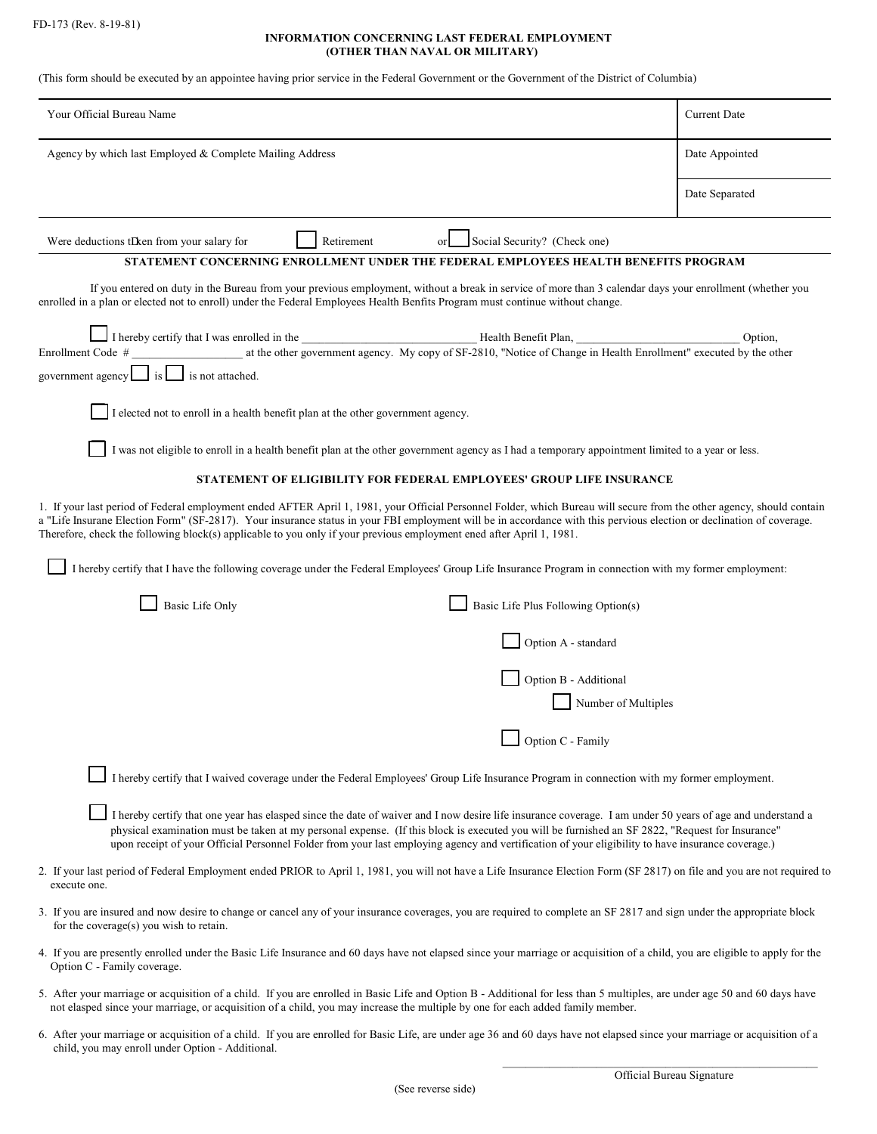## **INFORMATION CONCERNING LAST FEDERAL EMPLOYMENT (OTHER THAN NAVAL OR MILITARY)**

(This form should be executed by an appointee having prior service in the Federal Government or the Government of the District of Columbia)

| Your Official Bureau Name                                                                                                                                                                                                                                                                                                                                                                                                                                               | <b>Current Date</b> |
|-------------------------------------------------------------------------------------------------------------------------------------------------------------------------------------------------------------------------------------------------------------------------------------------------------------------------------------------------------------------------------------------------------------------------------------------------------------------------|---------------------|
| Agency by which last Employed & Complete Mailing Address                                                                                                                                                                                                                                                                                                                                                                                                                | Date Appointed      |
|                                                                                                                                                                                                                                                                                                                                                                                                                                                                         | Date Separated      |
| Social Security? (Check one)<br>Were deductions tDken from your salary for<br>Retirement<br>or                                                                                                                                                                                                                                                                                                                                                                          |                     |
| STATEMENT CONCERNING ENROLLMENT UNDER THE FEDERAL EMPLOYEES HEALTH BENEFITS PROGRAM                                                                                                                                                                                                                                                                                                                                                                                     |                     |
| If you entered on duty in the Bureau from your previous employment, without a break in service of more than 3 calendar days your enrollment (whether you<br>enrolled in a plan or elected not to enroll) under the Federal Employees Health Benfits Program must continue without change.                                                                                                                                                                               |                     |
|                                                                                                                                                                                                                                                                                                                                                                                                                                                                         | Option,             |
| at the other government agency. My copy of SF-2810, "Notice of Change in Health Enrollment" executed by the other<br>Enrollment Code #                                                                                                                                                                                                                                                                                                                                  |                     |
| government agency is is not attached.                                                                                                                                                                                                                                                                                                                                                                                                                                   |                     |
| I elected not to enroll in a health benefit plan at the other government agency.                                                                                                                                                                                                                                                                                                                                                                                        |                     |
| I was not eligible to enroll in a health benefit plan at the other government agency as I had a temporary appointment limited to a year or less.                                                                                                                                                                                                                                                                                                                        |                     |
| STATEMENT OF ELIGIBILITY FOR FEDERAL EMPLOYEES' GROUP LIFE INSURANCE                                                                                                                                                                                                                                                                                                                                                                                                    |                     |
| 1. If your last period of Federal employment ended AFTER April 1, 1981, your Official Personnel Folder, which Bureau will secure from the other agency, should contain<br>a "Life Insurane Election Form" (SF-2817). Your insurance status in your FBI employment will be in accordance with this pervious election or declination of coverage.<br>Therefore, check the following block(s) applicable to you only if your previous employment ened after April 1, 1981. |                     |
| I hereby certify that I have the following coverage under the Federal Employees' Group Life Insurance Program in connection with my former employment:                                                                                                                                                                                                                                                                                                                  |                     |
| Basic Life Plus Following Option(s)<br><b>Basic Life Only</b>                                                                                                                                                                                                                                                                                                                                                                                                           |                     |
| Option A - standard                                                                                                                                                                                                                                                                                                                                                                                                                                                     |                     |
| Option B - Additional                                                                                                                                                                                                                                                                                                                                                                                                                                                   |                     |
| Number of Multiples                                                                                                                                                                                                                                                                                                                                                                                                                                                     |                     |
| Option C - Family                                                                                                                                                                                                                                                                                                                                                                                                                                                       |                     |
| I hereby certify that I waived coverage under the Federal Employees' Group Life Insurance Program in connection with my former employment.                                                                                                                                                                                                                                                                                                                              |                     |
| I hereby certify that one year has elasped since the date of waiver and I now desire life insurance coverage. I am under 50 years of age and understand a<br>physical examination must be taken at my personal expense. (If this block is executed you will be furnished an SF 2822, "Request for Insurance"<br>upon receipt of your Official Personnel Folder from your last employing agency and vertification of your eligibility to have insurance coverage.)       |                     |
| 2. If your last period of Federal Employment ended PRIOR to April 1, 1981, you will not have a Life Insurance Election Form (SF 2817) on file and you are not required to<br>execute one.                                                                                                                                                                                                                                                                               |                     |
| 3. If you are insured and now desire to change or cancel any of your insurance coverages, you are required to complete an SF 2817 and sign under the appropriate block<br>for the coverage( $s$ ) you wish to retain.                                                                                                                                                                                                                                                   |                     |
| 4. If you are presently enrolled under the Basic Life Insurance and 60 days have not elapsed since your marriage or acquisition of a child, you are eligible to apply for the<br>Option C - Family coverage.                                                                                                                                                                                                                                                            |                     |
| 5. After your marriage or acquisition of a child. If you are enrolled in Basic Life and Option B - Additional for less than 5 multiples, are under age 50 and 60 days have<br>not elasped since your marriage, or acquisition of a child, you may increase the multiple by one for each added family member.                                                                                                                                                            |                     |

6. After your marriage or acquisition of a child. If you are enrolled for Basic Life, are under age 36 and 60 days have not elapsed since your marriage or acquisition of a child, you may enroll under Option - Additional.

\_\_\_\_\_\_\_\_\_\_\_\_\_\_\_\_\_\_\_\_\_\_\_\_\_\_\_\_\_\_\_\_\_\_\_\_\_\_\_\_\_\_\_\_\_\_\_\_\_\_\_\_\_\_